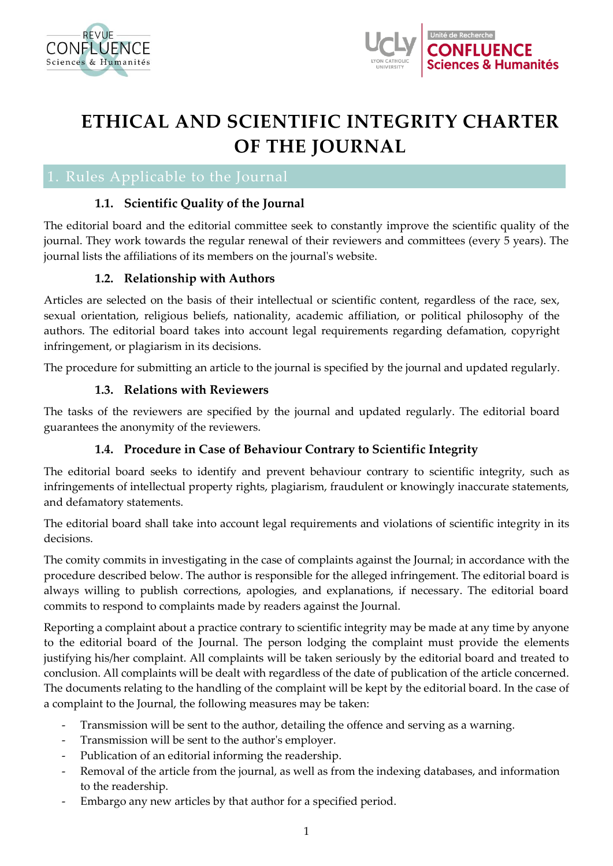



# **ETHICAL AND SCIENTIFIC INTEGRITY CHARTER OF THE JOURNAL**

# **1.1. Scientific Quality of the Journal**

The editorial board and the editorial committee seek to constantly improve the scientific quality of the journal. They work towards the regular renewal of their reviewers and committees (every 5 years). The journal lists the affiliations of its members on the journal's website.

# **1.2. Relationship with Authors**

Articles are selected on the basis of their intellectual or scientific content, regardless of the race, sex, sexual orientation, religious beliefs, nationality, academic affiliation, or political philosophy of the authors. The editorial board takes into account legal requirements regarding defamation, copyright infringement, or plagiarism in its decisions.

The procedure for submitting an article to the journal is specified by the journal and updated regularly.

### **1.3. Relations with Reviewers**

The tasks of the reviewers are specified by the journal and updated regularly. The editorial board guarantees the anonymity of the reviewers.

# **1.4. Procedure in Case of Behaviour Contrary to Scientific Integrity**

The editorial board seeks to identify and prevent behaviour contrary to scientific integrity, such as infringements of intellectual property rights, plagiarism, fraudulent or knowingly inaccurate statements, and defamatory statements.

The editorial board shall take into account legal requirements and violations of scientific integrity in its decisions.

The comity commits in investigating in the case of complaints against the Journal; in accordance with the procedure described below. The author is responsible for the alleged infringement. The editorial board is always willing to publish corrections, apologies, and explanations, if necessary. The editorial board commits to respond to complaints made by readers against the Journal.

Reporting a complaint about a practice contrary to scientific integrity may be made at any time by anyone to the editorial board of the Journal. The person lodging the complaint must provide the elements justifying his/her complaint. All complaints will be taken seriously by the editorial board and treated to conclusion. All complaints will be dealt with regardless of the date of publication of the article concerned. The documents relating to the handling of the complaint will be kept by the editorial board. In the case of a complaint to the Journal, the following measures may be taken:

- Transmission will be sent to the author, detailing the offence and serving as a warning.
- Transmission will be sent to the author's employer.
- Publication of an editorial informing the readership.
- Removal of the article from the journal, as well as from the indexing databases, and information to the readership.
- Embargo any new articles by that author for a specified period.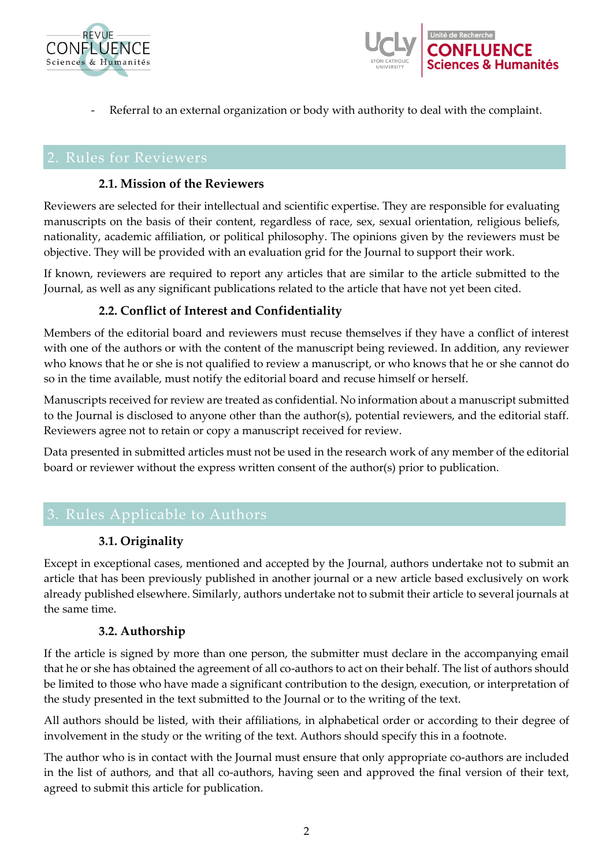



- Referral to an external organization or body with authority to deal with the complaint.

#### **2.1. Mission of the Reviewers**

Reviewers are selected for their intellectual and scientific expertise. They are responsible for evaluating manuscripts on the basis of their content, regardless of race, sex, sexual orientation, religious beliefs, nationality, academic affiliation, or political philosophy. The opinions given by the reviewers must be objective. They will be provided with an evaluation grid for the Journal to support their work.

If known, reviewers are required to report any articles that are similar to the article submitted to the Journal, as well as any significant publications related to the article that have not yet been cited.

# **2.2. Conflict of Interest and Confidentiality**

Members of the editorial board and reviewers must recuse themselves if they have a conflict of interest with one of the authors or with the content of the manuscript being reviewed. In addition, any reviewer who knows that he or she is not qualified to review a manuscript, or who knows that he or she cannot do so in the time available, must notify the editorial board and recuse himself or herself.

Manuscripts received for review are treated as confidential. No information about a manuscript submitted to the Journal is disclosed to anyone other than the author(s), potential reviewers, and the editorial staff. Reviewers agree not to retain or copy a manuscript received for review.

Data presented in submitted articles must not be used in the research work of any member of the editorial board or reviewer without the express written consent of the author(s) prior to publication.

# **3.1. Originality**

Except in exceptional cases, mentioned and accepted by the Journal, authors undertake not to submit an article that has been previously published in another journal or a new article based exclusively on work already published elsewhere. Similarly, authors undertake not to submit their article to several journals at the same time.

#### **3.2. Authorship**

If the article is signed by more than one person, the submitter must declare in the accompanying email that he or she has obtained the agreement of all co-authors to act on their behalf. The list of authors should be limited to those who have made a significant contribution to the design, execution, or interpretation of the study presented in the text submitted to the Journal or to the writing of the text.

All authors should be listed, with their affiliations, in alphabetical order or according to their degree of involvement in the study or the writing of the text. Authors should specify this in a footnote.

The author who is in contact with the Journal must ensure that only appropriate co-authors are included in the list of authors, and that all co-authors, having seen and approved the final version of their text, agreed to submit this article for publication.